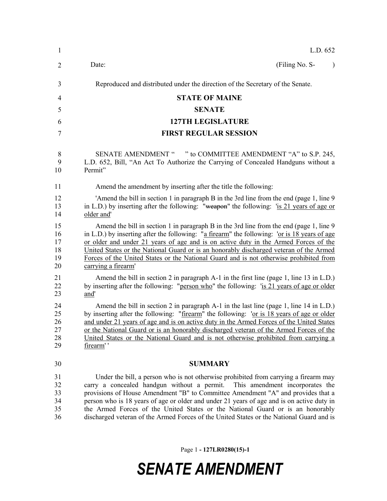| $\mathbf{1}$                     | L.D. 652                                                                                                                                                                                                                                                                                                                                                                                                                                                                                                                              |
|----------------------------------|---------------------------------------------------------------------------------------------------------------------------------------------------------------------------------------------------------------------------------------------------------------------------------------------------------------------------------------------------------------------------------------------------------------------------------------------------------------------------------------------------------------------------------------|
| 2                                | (Filing No. S-<br>Date:                                                                                                                                                                                                                                                                                                                                                                                                                                                                                                               |
| 3                                | Reproduced and distributed under the direction of the Secretary of the Senate.                                                                                                                                                                                                                                                                                                                                                                                                                                                        |
| 4                                | <b>STATE OF MAINE</b>                                                                                                                                                                                                                                                                                                                                                                                                                                                                                                                 |
| 5                                | <b>SENATE</b>                                                                                                                                                                                                                                                                                                                                                                                                                                                                                                                         |
| 6                                | <b>127TH LEGISLATURE</b>                                                                                                                                                                                                                                                                                                                                                                                                                                                                                                              |
| 7                                | <b>FIRST REGULAR SESSION</b>                                                                                                                                                                                                                                                                                                                                                                                                                                                                                                          |
| 8<br>9<br>10                     | SENATE AMENDMENT " " to COMMITTEE AMENDMENT "A" to S.P. 245,<br>L.D. 652, Bill, "An Act To Authorize the Carrying of Concealed Handguns without a<br>Permit"                                                                                                                                                                                                                                                                                                                                                                          |
| 11                               | Amend the amendment by inserting after the title the following:                                                                                                                                                                                                                                                                                                                                                                                                                                                                       |
| 12<br>13<br>14                   | 'Amend the bill in section 1 in paragraph B in the 3rd line from the end (page 1, line 9)<br>in L.D.) by inserting after the following: "weapon" the following: 'is 21 years of age or<br>older and'                                                                                                                                                                                                                                                                                                                                  |
| 15<br>16<br>17<br>18<br>19<br>20 | Amend the bill in section 1 in paragraph B in the 3rd line from the end (page 1, line 9)<br>in L.D.) by inserting after the following: "a firearm" the following: 'or is 18 years of age<br>or older and under 21 years of age and is on active duty in the Armed Forces of the<br>United States or the National Guard or is an honorably discharged veteran of the Armed<br>Forces of the United States or the National Guard and is not otherwise prohibited from<br>carrying a firearm'                                            |
| 21<br>22<br>23                   | Amend the bill in section 2 in paragraph $A-1$ in the first line (page 1, line 13 in L.D.)<br>by inserting after the following: "person who" the following: 'is 21 years of age or older<br>and'                                                                                                                                                                                                                                                                                                                                      |
| 24<br>25<br>26<br>27<br>28<br>29 | Amend the bill in section 2 in paragraph A-1 in the last line (page 1, line 14 in L.D.)<br>by inserting after the following: "firearm" the following: 'or is 18 years of age or older<br>and under 21 years of age and is on active duty in the Armed Forces of the United States<br>or the National Guard or is an honorably discharged veteran of the Armed Forces of the<br>United States or the National Guard and is not otherwise prohibited from carrying a<br>firearm''                                                       |
| 30                               | <b>SUMMARY</b>                                                                                                                                                                                                                                                                                                                                                                                                                                                                                                                        |
| 31<br>32<br>33<br>34<br>35<br>36 | Under the bill, a person who is not otherwise prohibited from carrying a firearm may<br>carry a concealed handgun without a permit.<br>This amendment incorporates the<br>provisions of House Amendment "B" to Committee Amendment "A" and provides that a<br>person who is 18 years of age or older and under 21 years of age and is on active duty in<br>the Armed Forces of the United States or the National Guard or is an honorably<br>discharged veteran of the Armed Forces of the United States or the National Guard and is |
|                                  |                                                                                                                                                                                                                                                                                                                                                                                                                                                                                                                                       |

Page 1 **- 127LR0280(15)-1**

## *SENATE AMENDMENT*